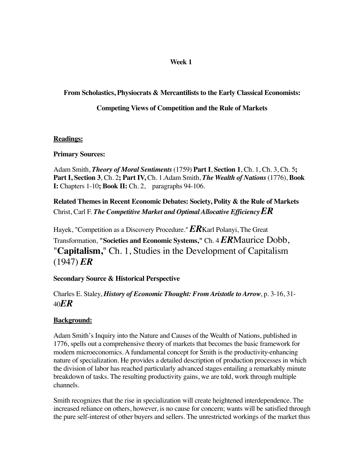## **Week 1**

## **From Scholastics, Physiocrats & Mercantilists to the Early Classical Economists:**

## **Competing Views of Competition and the Rule of Markets**

## **Readings:**

## **Primary Sources:**

Adam Smith, *Theory of Moral Sentiments* (1759) **Part I**, **Section 1**, Ch. 1, Ch. 3, Ch. 5**; Part I, Section 3**, Ch. 2**; Part IV,** Ch. 1.Adam Smith, *The Wealth of Nations* (1776), **Book I:** Chapters 1-10**; Book II:** Ch. 2, paragraphs 94-106.

**Related Themes in Recent Economic Debates: Society, Polity & the Rule of Markets** Christ, Carl F. *The Competitive Market and Optimal Allocative EfficiencyER*

Hayek, "Competition as a Discovery Procedure." *ER*Karl Polanyi, The Great Transformation, **"Societies and Economic Systems,"** Ch. 4*ER*Maurice Dobb, "**Capitalism,**" Ch. 1, Studies in the Development of Capitalism (1947) *ER*

## **Secondary Source & Historical Perspective**

Charles E. Staley, *History of Economic Thought: From Aristotle to Arrow*, p. 3-16, 31- 40*ER*

## **Background:**

Adam Smith's Inquiry into the Nature and Causes of the Wealth of Nations, published in 1776, spells out a comprehensive theory of markets that becomes the basic framework for modern microeconomics. A fundamental concept for Smith is the productivity-enhancing nature of specialization. He provides a detailed description of production processes in which the division of labor has reached particularly advanced stages entailing a remarkably minute breakdown of tasks. The resulting productivity gains, we are told, work through multiple channels.

Smith recognizes that the rise in specialization will create heightened interdependence. The increased reliance on others, however, is no cause for concern; wants will be satisfied through the pure self-interest of other buyers and sellers. The unrestricted workings of the market thus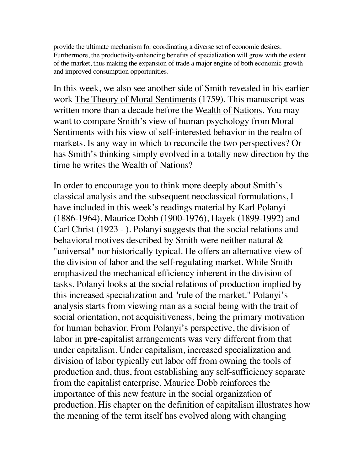provide the ultimate mechanism for coordinating a diverse set of economic desires. Furthermore, the productivity-enhancing benefits of specialization will grow with the extent of the market, thus making the expansion of trade a major engine of both economic growth and improved consumption opportunities.

In this week, we also see another side of Smith revealed in his earlier work The Theory of Moral Sentiments (1759). This manuscript was written more than a decade before the Wealth of Nations. You may want to compare Smith's view of human psychology from Moral Sentiments with his view of self-interested behavior in the realm of markets. Is any way in which to reconcile the two perspectives? Or has Smith's thinking simply evolved in a totally new direction by the time he writes the Wealth of Nations?

In order to encourage you to think more deeply about Smith's classical analysis and the subsequent neoclassical formulations, I have included in this week's readings material by Karl Polanyi (1886-1964), Maurice Dobb (1900-1976), Hayek (1899-1992) and Carl Christ (1923 - ). Polanyi suggests that the social relations and behavioral motives described by Smith were neither natural & "universal" nor historically typical. He offers an alternative view of the division of labor and the self-regulating market. While Smith emphasized the mechanical efficiency inherent in the division of tasks, Polanyi looks at the social relations of production implied by this increased specialization and "rule of the market." Polanyi's analysis starts from viewing man as a social being with the trait of social orientation, not acquisitiveness, being the primary motivation for human behavior. From Polanyi's perspective, the division of labor in **pre**-capitalist arrangements was very different from that under capitalism. Under capitalism, increased specialization and division of labor typically cut labor off from owning the tools of production and, thus, from establishing any self-sufficiency separate from the capitalist enterprise. Maurice Dobb reinforces the importance of this new feature in the social organization of production. His chapter on the definition of capitalism illustrates how the meaning of the term itself has evolved along with changing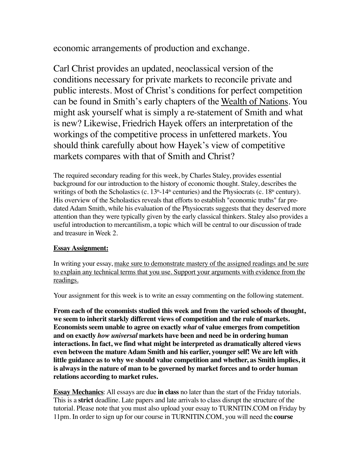economic arrangements of production and exchange.

Carl Christ provides an updated, neoclassical version of the conditions necessary for private markets to reconcile private and public interests. Most of Christ's conditions for perfect competition can be found in Smith's early chapters of the Wealth of Nations. You might ask yourself what is simply a re-statement of Smith and what is new? Likewise, Friedrich Hayek offers an interpretation of the workings of the competitive process in unfettered markets. You should think carefully about how Hayek's view of competitive markets compares with that of Smith and Christ?

The required secondary reading for this week, by Charles Staley, provides essential background for our introduction to the history of economic thought. Staley, describes the writings of both the Scholastics (c.  $13<sup>th</sup> - 14<sup>th</sup>$  centuries) and the Physiocrats (c.  $18<sup>th</sup>$  century). His overview of the Scholastics reveals that efforts to establish "economic truths" far predated Adam Smith, while his evaluation of the Physiocrats suggests that they deserved more attention than they were typically given by the early classical thinkers. Staley also provides a useful introduction to mercantilism, a topic which will be central to our discussion of trade and treasure in Week 2.

## **Essay Assignment:**

In writing your essay, make sure to demonstrate mastery of the assigned readings and be sure to explain any technical terms that you use. Support your arguments with evidence from the readings.

Your assignment for this week is to write an essay commenting on the following statement.

**From each of the economists studied this week and from the varied schools of thought, we seem to inherit starkly different views of competition and the rule of markets. Economists seem unable to agree on exactly** *what* **of value emerges from competition and on exactly** *how universal* **markets have been and need be in ordering human interactions. In fact, we find what might be interpreted as dramatically altered views even between the mature Adam Smith and his earlier, younger self! We are left with little guidance as to why we should value competition and whether, as Smith implies, it is always in the nature of man to be governed by market forces and to order human relations according to market rules.**

**Essay Mechanics**: All essays are due **in class** no later than the start of the Friday tutorials. This is a **strict** deadline. Late papers and late arrivals to class disrupt the structure of the tutorial. Please note that you must also upload your essay to TURNITIN.COM on Friday by 11pm. In order to sign up for our course in TURNITIN.COM, you will need the **course**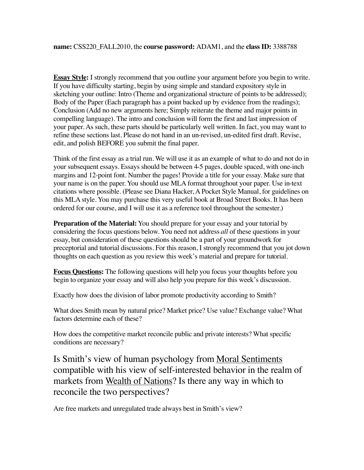**Essay Style:** I strongly recommend that you outline your argument before you begin to write. If you have difficulty starting, begin by using simple and standard expository style in sketching your outline: Intro (Theme and organizational structure of points to be addressed); Body of the Paper (Each paragraph has a point backed up by evidence from the readings); Conclusion (Add no new arguments here; Simply reiterate the theme and major points in compelling language). The intro and conclusion will form the first and last impression of your paper. As such, these parts should be particularly well written. In fact, you may want to refine these sections last. Please do not hand in an un-revised, un-edited first draft. Revise, edit, and polish BEFORE you submit the final paper.

Think of the first essay as a trial run. We will use it as an example of what to do and not do in your subsequent essays. Essays should be between 4-5 pages, double spaced, with one-inch margins and 12-point font. Number the pages! Provide a title for your essay. Make sure that your name is on the paper. You should use MLA format throughout your paper. Use in-text citations where possible. (Please see Diana Hacker, A Pocket Style Manual, for guidelines on this MLA style. You may purchase this very useful book at Broad Street Books. It has been ordered for our course, and I will use it as a reference tool throughout the semester.)

**Preparation of the Material:** You should prepare for your essay and your tutorial by considering the focus questions below. You need not address *all* of these questions in your essay, but consideration of these questions should be a part of your groundwork for preceptorial and tutorial discussions. For this reason, I strongly recommend that you jot down thoughts on each question as you review this week's material and prepare for tutorial.

**Focus Questions:** The following questions will help you focus your thoughts before you begin to organize your essay and will also help you prepare for this week's discussion.

Exactly how does the division of labor promote productivity according to Smith?

What does Smith mean by natural price? Market price? Use value? Exchange value? What factors determine each of these?

How does the competitive market reconcile public and private interests? What specific conditions are necessary?

Is Smith's view of human psychology from Moral Sentiments compatible with his view of self-interested behavior in the realm of markets from Wealth of Nations? Is there any way in which to reconcile the two perspectives?

Are free markets and unregulated trade always best in Smith's view?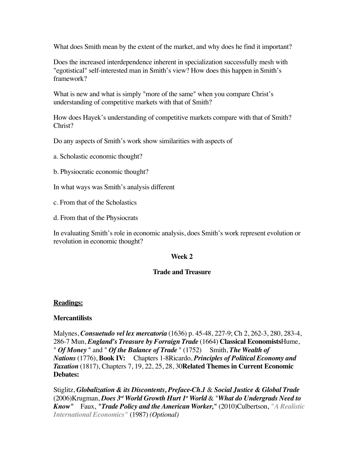What does Smith mean by the extent of the market, and why does he find it important?

Does the increased interdependence inherent in specialization successfully mesh with "egotistical" self-interested man in Smith's view? How does this happen in Smith's framework?

What is new and what is simply "more of the same" when you compare Christ's understanding of competitive markets with that of Smith?

How does Hayek's understanding of competitive markets compare with that of Smith? Christ?

Do any aspects of Smith's work show similarities with aspects of

a. Scholastic economic thought?

b. Physiocratic economic thought?

In what ways was Smith's analysis different

c. From that of the Scholastics

d. From that of the Physiocrats

In evaluating Smith's role in economic analysis, does Smith's work represent evolution or revolution in economic thought?

## **Week 2**

## **Trade and Treasure**

#### **Readings:**

## **Mercantilists**

Malynes, *Consuetudo vel lex mercatoria* (1636) p. 45-48, 227-9; Ch 2, 262-3, 280, 283-4, 286-7 Mun, *England's Treasure by Forraign Trade* (1664) **Classical Economists**Hume, " *Of Money* " and " *Of the Balance of Trade* " (1752) Smith, *The Wealth of Nations* (1776), **Book IV:** Chapters 1-8Ricardo, *Principles of Political Economy and Taxation* (1817), Chapters 7, 19, 22, 25, 28, 30**Related Themes in Current Economic Debates:**

Stiglitz, *Globalization & its Discontents, Preface-Ch.1* & *Social Justice & Global Trade* (2006)Krugman, *Does 3rd World Growth Hurt 1st World* & "*What do Undergrads Need to Know"* Faux, *"Trade Policy and the American Worker,"* (2010)Culbertson, *"A Realistic International Economics"* (1987) *(Optional)*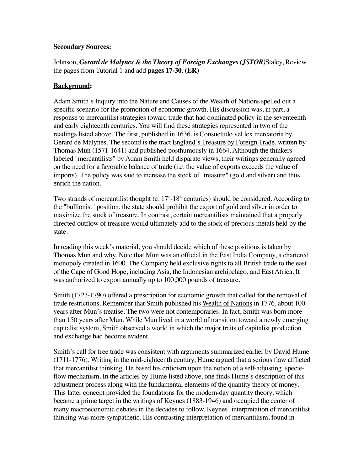#### **Secondary Sources:**

Johnson, *Gerard de Malynes & the Theory of Foreign Exchanges (JSTOR)*Staley, Review the pages from Tutorial 1 and add **pages 17-30**. (**ER)**

## **Background:**

Adam Smith's Inquiry into the Nature and Causes of the Wealth of Nations spelled out a specific scenario for the promotion of economic growth. His discussion was, in part, a response to mercantilist strategies toward trade that had dominated policy in the seventeenth and early eighteenth centuries. You will find these strategies represented in two of the readings listed above. The first, published in 1636, is Consuetudo vel lex mercatoria by Gerard de Malynes. The second is the tract England's Treasure by Foreign Trade, written by Thomas Mun (1571-1641) and published posthumously in 1664. Although the thinkers labeled "mercantilists" by Adam Smith held disparate views, their writings generally agreed on the need for a favorable balance of trade (i.e. the value of exports exceeds the value of imports). The policy was said to increase the stock of "treasure" (gold and silver) and thus enrich the nation.

Two strands of mercantilist thought (c.  $17<sup>th</sup> - 18<sup>th</sup>$  centuries) should be considered. According to the "bullionist" position, the state should prohibit the export of gold and silver in order to maximize the stock of treasure. In contrast, certain mercantilists maintained that a properly directed outflow of treasure would ultimately add to the stock of precious metals held by the state.

In reading this week's material, you should decide which of these positions is taken by Thomas Mun and why. Note that Mun was an official in the East India Company, a chartered monopoly created in 1600. The Company held exclusive rights to all British trade to the east of the Cape of Good Hope, including Asia, the Indonesian archipelago, and East Africa. It was authorized to export annually up to 100,000 pounds of treasure.

Smith (1723-1790) offered a prescription for economic growth that called for the removal of trade restrictions. Remember that Smith published his Wealth of Nations in 1776, about 100 years after Mun's treatise. The two were not contemporaries. In fact, Smith was born more than 150 years after Mun. While Mun lived in a world of transition toward a newly emerging capitalist system, Smith observed a world in which the major traits of capitalist production and exchange had become evident.

Smith's call for free trade was consistent with arguments summarized earlier by David Hume (1711-1776). Writing in the mid-eighteenth century, Hume argued that a serious flaw afflicted that mercantilist thinking. He based his criticism upon the notion of a self-adjusting, specieflow mechanism. In the articles by Hume listed above, one finds Hume's description of this adjustment process along with the fundamental elements of the quantity theory of money. This latter concept provided the foundations for the modern-day quantity theory, which became a prime target in the writings of Keynes (1883-1946) and occupied the center of many macroeconomic debates in the decades to follow. Keynes' interpretation of mercantilist thinking was more sympathetic. His contrasting interpretation of mercantilism, found in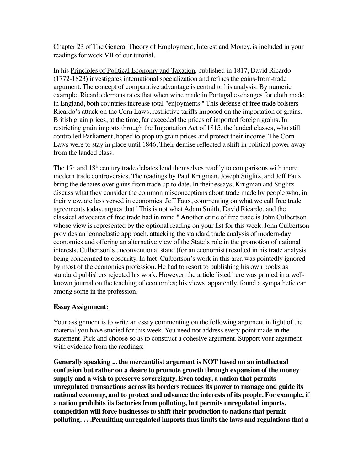Chapter 23 of The General Theory of Employment, Interest and Money, is included in your readings for week VII of our tutorial.

In his Principles of Political Economy and Taxation, published in 1817, David Ricardo (1772-1823) investigates international specialization and refines the gains-from-trade argument. The concept of comparative advantage is central to his analysis. By numeric example, Ricardo demonstrates that when wine made in Portugal exchanges for cloth made in England, both countries increase total "enjoyments." This defense of free trade bolsters Ricardo's attack on the Corn Laws, restrictive tariffs imposed on the importation of grains. British grain prices, at the time, far exceeded the prices of imported foreign grains. In restricting grain imports through the Importation Act of 1815, the landed classes, who still controlled Parliament, hoped to prop up grain prices and protect their income. The Corn Laws were to stay in place until 1846. Their demise reflected a shift in political power away from the landed class.

The  $17<sup>th</sup>$  and  $18<sup>th</sup>$  century trade debates lend themselves readily to comparisons with more modern trade controversies. The readings by Paul Krugman, Joseph Stiglitz, and Jeff Faux bring the debates over gains from trade up to date. In their essays, Krugman and Stiglitz discuss what they consider the common misconceptions about trade made by people who, in their view, are less versed in economics. Jeff Faux, commenting on what we call free trade agreements today, argues that "This is not what Adam Smith, David Ricardo, and the classical advocates of free trade had in mind." Another critic of free trade is John Culbertson whose view is represented by the optional reading on your list for this week. John Culbertson provides an iconoclastic approach, attacking the standard trade analysis of modern-day economics and offering an alternative view of the State's role in the promotion of national interests. Culbertson's unconventional stand (for an economist) resulted in his trade analysis being condemned to obscurity. In fact, Culbertson's work in this area was pointedly ignored by most of the economics profession. He had to resort to publishing his own books as standard publishers rejected his work. However, the article listed here was printed in a wellknown journal on the teaching of economics; his views, apparently, found a sympathetic ear among some in the profession.

## **Essay Assignment:**

Your assignment is to write an essay commenting on the following argument in light of the material you have studied for this week. You need not address every point made in the statement. Pick and choose so as to construct a cohesive argument. Support your argument with evidence from the readings:

**Generally speaking ... the mercantilist argument is NOT based on an intellectual confusion but rather on a desire to promote growth through expansion of the money supply and a wish to preserve sovereignty. Even today, a nation that permits unregulated transactions across its borders reduces its power to manage and guide its national economy, and to protect and advance the interests of its people. For example, if a nation prohibits its factories from polluting, but permits unregulated imports, competition will force businesses to shift their production to nations that permit polluting. . . .Permitting unregulated imports thus limits the laws and regulations that a**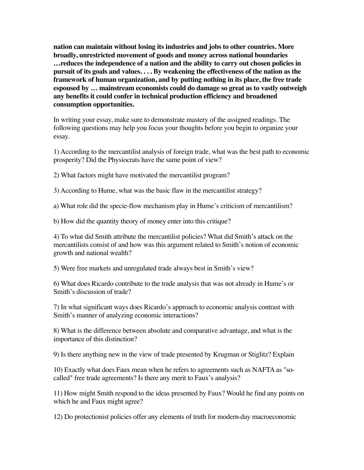**nation can maintain without losing its industries and jobs to other countries. More broadly, unrestricted movement of goods and money across national boundaries …reduces the independence of a nation and the ability to carry out chosen policies in pursuit of its goals and values. . . . By weakening the effectiveness of the nation as the framework of human organization, and by putting nothing in its place, the free trade espoused by … mainstream economists could do damage so great as to vastly outweigh any benefits it could confer in technical production efficiency and broadened consumption opportunities.**

In writing your essay, make sure to demonstrate mastery of the assigned readings. The following questions may help you focus your thoughts before you begin to organize your essay.

1) According to the mercantilist analysis of foreign trade, what was the best path to economic prosperity? Did the Physiocrats have the same point of view?

2) What factors might have motivated the mercantilist program?

3) According to Hume, what was the basic flaw in the mercantilist strategy?

a) What role did the specie-flow mechanism play in Hume's criticism of mercantilism?

b) How did the quantity theory of money enter into this critique?

4) To what did Smith attribute the mercantilist policies? What did Smith's attack on the mercantilists consist of and how was this argument related to Smith's notion of economic growth and national wealth?

5) Were free markets and unregulated trade always best in Smith's view?

6) What does Ricardo contribute to the trade analysis that was not already in Hume's or Smith's discussion of trade?

7) In what significant ways does Ricardo's approach to economic analysis contrast with Smith's manner of analyzing economic interactions?

8) What is the difference between absolute and comparative advantage, and what is the importance of this distinction?

9) Is there anything new in the view of trade presented by Krugman or Stiglitz? Explain

10) Exactly what does Faux mean when he refers to agreements such as NAFTA as "socalled" free trade agreements? Is there any merit to Faux's analysis?

11) How might Smith respond to the ideas presented by Faux? Would he find any points on which he and Faux might agree?

12) Do protectionist policies offer any elements of truth for modern-day macroeconomic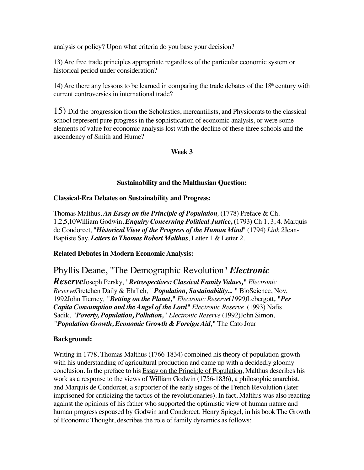analysis or policy? Upon what criteria do you base your decision?

13) Are free trade principles appropriate regardless of the particular economic system or historical period under consideration?

14) Are there any lessons to be learned in comparing the trade debates of the  $18<sup>th</sup>$  century with current controversies in international trade?

15) Did the progression from the Scholastics, mercantilists, and Physiocrats to the classical school represent pure progress in the sophistication of economic analysis, or were some elements of value for economic analysis lost with the decline of these three schools and the ascendency of Smith and Hume?

## **Week 3**

## **Sustainability and the Malthusian Question:**

## **Classical-Era Debates on Sustainability and Progress:**

Thomas Malthus, *An Essay on the Principle of Population,* (1778) Preface & Ch. 1,2,5,10William Godwin, *Enquiry Concerning Political Justice***,** (1793) Ch 1, 3, 4. Marquis de Condorcet*,* "*Historical View of the Progress of the Human Mind*" (1794) *Link 2*Jean-Baptiste Say, *Letters to Thomas Robert Malthus*, Letter 1 & Letter 2.

## **Related Debates in Modern Economic Analysis:**

## Phyllis Deane, "The Demographic Revolution" *Electronic*

*Reserve*Joseph Persky, *"Retrospectives: Classical Family Values," Electronic Reserve*Gretchen Daily & Ehrlich*, " Population, Sustainability... "* BioScience, Nov. 1992John Tierney*, "Betting on the Planet," Electronic Reserve*(*1990)*Lebergott*, "Per Capita Consumption and the Angel of the Lord" Electronic Reserve* (1993) Nafis Sadik, *"Poverty, Population, Pollution," Electronic Reserve* (1992)John Simon, *"Population Growth, Economic Growth & Foreign Aid,"* The Cato Jour

## **Background:**

Writing in 1778, Thomas Malthus (1766-1834) combined his theory of population growth with his understanding of agricultural production and came up with a decidedly gloomy conclusion. In the preface to his Essay on the Principle of Population, Malthus describes his work as a response to the views of William Godwin (1756-1836**)**, a philosophic anarchist, and Marquis de Condorcet, a supporter of the early stages of the French Revolution (later imprisoned for criticizing the tactics of the revolutionaries). In fact, Malthus was also reacting against the opinions of his father who supported the optimistic view of human nature and human progress espoused by Godwin and Condorcet. Henry Spiegel, in his book The Growth of Economic Thought, describes the role of family dynamics as follows: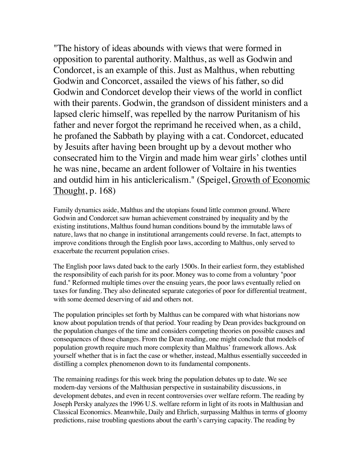"The history of ideas abounds with views that were formed in opposition to parental authority. Malthus, as well as Godwin and Condorcet, is an example of this. Just as Malthus, when rebutting Godwin and Concorcet, assailed the views of his father, so did Godwin and Condorcet develop their views of the world in conflict with their parents. Godwin, the grandson of dissident ministers and a lapsed cleric himself, was repelled by the narrow Puritanism of his father and never forgot the reprimand he received when, as a child, he profaned the Sabbath by playing with a cat. Condorcet, educated by Jesuits after having been brought up by a devout mother who consecrated him to the Virgin and made him wear girls' clothes until he was nine, became an ardent follower of Voltaire in his twenties and outdid him in his anticlericalism." (Speigel, Growth of Economic Thought, p. 168)

Family dynamics aside, Malthus and the utopians found little common ground. Where Godwin and Condorcet saw human achievement constrained by inequality and by the existing institutions, Malthus found human conditions bound by the immutable laws of nature, laws that no change in institutional arrangements could reverse. In fact, attempts to improve conditions through the English poor laws, according to Malthus, only served to exacerbate the recurrent population crises.

The English poor laws dated back to the early 1500s. In their earliest form, they established the responsibility of each parish for its poor. Money was to come from a voluntary "poor fund." Reformed multiple times over the ensuing years, the poor laws eventually relied on taxes for funding. They also delineated separate categories of poor for differential treatment, with some deemed deserving of aid and others not.

The population principles set forth by Malthus can be compared with what historians now know about population trends of that period. Your reading by Dean provides background on the population changes of the time and considers competing theories on possible causes and consequences of those changes. From the Dean reading, one might conclude that models of population growth require much more complexity than Malthus' framework allows. Ask yourself whether that is in fact the case or whether, instead, Malthus essentially succeeded in distilling a complex phenomenon down to its fundamental components.

The remaining readings for this week bring the population debates up to date. We see modern-day versions of the Malthusian perspective in sustainability discussions, in development debates, and even in recent controversies over welfare reform. The reading by Joseph Persky analyzes the 1996 U.S. welfare reform in light of its roots in Malthusian and Classical Economics. Meanwhile, Daily and Ehrlich, surpassing Malthus in terms of gloomy predictions, raise troubling questions about the earth's carrying capacity. The reading by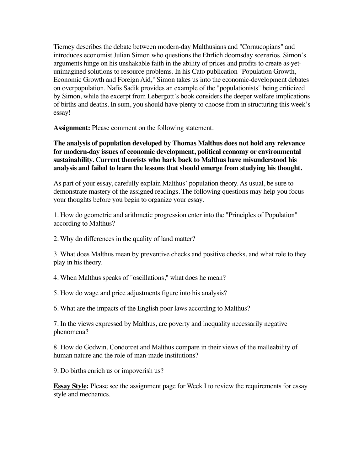Tierney describes the debate between modern-day Malthusians and "Cornucopians" and introduces economist Julian Simon who questions the Ehrlich doomsday scenarios. Simon's arguments hinge on his unshakable faith in the ability of prices and profits to create as-yetunimagined solutions to resource problems. In his Cato publication "Population Growth, Economic Growth and Foreign Aid," Simon takes us into the economic-development debates on overpopulation. Nafis Sadik provides an example of the "populationists" being criticized by Simon, while the excerpt from Lebergott's book considers the deeper welfare implications of births and deaths. In sum, you should have plenty to choose from in structuring this week's essay!

**Assignment:** Please comment on the following statement.

**The analysis of population developed by Thomas Malthus does not hold any relevance for modern-day issues of economic development, political economy or environmental sustainability. Current theorists who hark back to Malthus have misunderstood his analysis and failed to learn the lessons that should emerge from studying his thought.**

As part of your essay, carefully explain Malthus' population theory. As usual, be sure to demonstrate mastery of the assigned readings. The following questions may help you focus your thoughts before you begin to organize your essay.

1. How do geometric and arithmetic progression enter into the "Principles of Population" according to Malthus?

2. Why do differences in the quality of land matter?

3. What does Malthus mean by preventive checks and positive checks, and what role to they play in his theory.

4. When Malthus speaks of "oscillations," what does he mean?

5. How do wage and price adjustments figure into his analysis?

6. What are the impacts of the English poor laws according to Malthus?

7. In the views expressed by Malthus, are poverty and inequality necessarily negative phenomena?

8. How do Godwin, Condorcet and Malthus compare in their views of the malleability of human nature and the role of man-made institutions?

9. Do births enrich us or impoverish us?

**Essay Style:** Please see the assignment page for Week I to review the requirements for essay style and mechanics.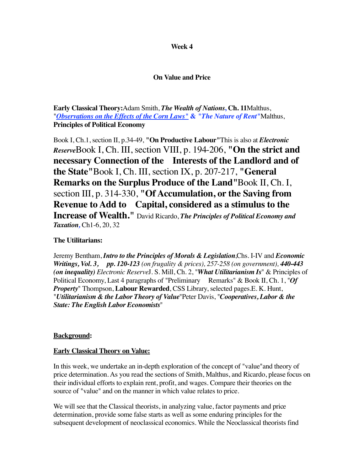#### **Week 4**

## **On Value and Price**

**Early Classical Theory:**Adam Smith, *The Wealth of Nations***, Ch. 11**Malthus, "*Observations on the Effects of the Corn Laws"* **&** *"The Nature of Rent"*Malthus, **Principles of Political Economy**

Book I, Ch.1, section II, p.34-49, **"On Productive Labour"**This is also at *Electronic Reserve*Book I, Ch. III, section VIII, p. 194-206, **"On the strict and necessary Connection of the Interests of the Landlord and of the State"**Book I, Ch. III, section IX, p. 207-217, **"General Remarks on the Surplus Produce of the Land"**Book II, Ch. I, section III, p. 314-330, **"Of Accumulation, or the Saving from Revenue to Add to Capital, considered as a stimulus to the Increase of Wealth."** David Ricardo, *The Principles of Political Economy and Taxation,* Ch1-6, 20, 32

## **The Utilitarians:**

Jeremy Bentham, *Intro to the Principles of Morals & Legislation*,Chs. I-IV and *Economic Writings, Vol. 3, pp. 120-123 (on frugality & prices), 257-258 (on government), 440-443 (on inequality) Electronic Reserve*J. S. Mill, Ch. 2, "*What Utilitarianism Is*" & Principles of Political Economy, Last 4 paragraphs of "Preliminary Remarks" & Book II, Ch. 1, "Of *Property*" Thompson, **Labour Rewarded**, CSS Library, selected pages.E. K. Hunt, "*Utilitarianism & the Labor Theory of Value*"Peter Davis, "*Cooperatives, Labor & the State: The English Labor Economists*"

## **Background:**

#### **Early Classical Theory on Value:**

In this week, we undertake an in-depth exploration of the concept of "value"and theory of price determination. As you read the sections of Smith, Malthus, and Ricardo, please focus on their individual efforts to explain rent, profit, and wages. Compare their theories on the source of "value" and on the manner in which value relates to price.

We will see that the Classical theorists, in analyzing value, factor payments and price determination, provide some false starts as well as some enduring principles for the subsequent development of neoclassical economics. While the Neoclassical theorists find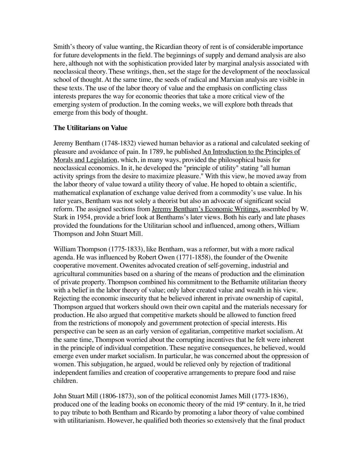Smith's theory of value wanting, the Ricardian theory of rent is of considerable importance for future developments in the field. The beginnings of supply and demand analysis are also here, although not with the sophistication provided later by marginal analysis associated with neoclassical theory. These writings, then, set the stage for the development of the neoclassical school of thought. At the same time, the seeds of radical and Marxian analysis are visible in these texts. The use of the labor theory of value and the emphasis on conflicting class interests prepares the way for economic theories that take a more critical view of the emerging system of production. In the coming weeks, we will explore both threads that emerge from this body of thought.

## **The Utilitarians on Value**

Jeremy Bentham (1748-1832) viewed human behavior as a rational and calculated seeking of pleasure and avoidance of pain. In 1789, he published An Introduction to the Principles of Morals and Legislation, which, in many ways, provided the philosophical basis for neoclassical economics. In it, he developed the "principle of utility" stating "all human activity springs from the desire to maximize pleasure." With this view, he moved away from the labor theory of value toward a utility theory of value. He hoped to obtain a scientific, mathematical explanation of exchange value derived from a commodity's use value. In his later years, Bentham was not solely a theorist but also an advocate of significant social reform. The assigned sections from Jeremy Bentham's Economic Writings, assembled by W. Stark in 1954, provide a brief look at Benthams's later views. Both his early and late phases provided the foundations for the Utilitarian school and influenced, among others, William Thompson and John Stuart Mill.

William Thompson (1775-1833), like Bentham, was a reformer, but with a more radical agenda. He was influenced by Robert Owen (1771-1858), the founder of the Owenite cooperative movement. Owenites advocated creation of self-governing, industrial and agricultural communities based on a sharing of the means of production and the elimination of private property. Thompson combined his commitment to the Bethamite utilitarian theory with a belief in the labor theory of value; only labor created value and wealth in his view. Rejecting the economic insecurity that he believed inherent in private ownership of capital, Thompson argued that workers should own their own capital and the materials necessary for production. He also argued that competitive markets should be allowed to function freed from the restrictions of monopoly and government protection of special interests. His perspective can be seen as an early version of egalitarian, competitive market socialism. At the same time, Thompson worried about the corrupting incentives that he felt were inherent in the principle of individual competition. These negative consequences, he believed, would emerge even under market socialism. In particular, he was concerned about the oppression of women. This subjugation, he argued, would be relieved only by rejection of traditional independent families and creation of cooperative arrangements to prepare food and raise children.

John Stuart Mill (1806-1873), son of the political economist James Mill (1773-1836), produced one of the leading books on economic theory of the mid  $19<sup>th</sup>$  century. In it, he tried to pay tribute to both Bentham and Ricardo by promoting a labor theory of value combined with utilitarianism. However, he qualified both theories so extensively that the final product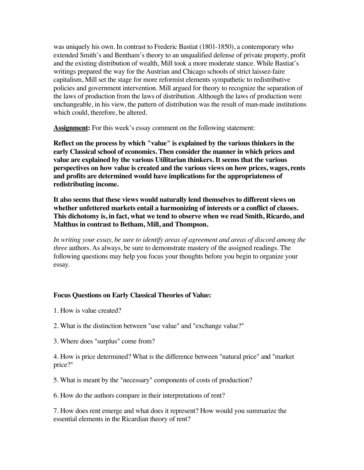was uniquely his own. In contrast to Frederic Bastiat (1801-1850), a contemporary who extended Smith's and Bentham's theory to an unqualified defense of private property, profit and the existing distribution of wealth, Mill took a more moderate stance. While Bastiat's writings prepared the way for the Austrian and Chicago schools of strict laissez-faire capitalism, Mill set the stage for more reformist elements sympathetic to redistributive policies and government intervention. Mill argued for theory to recognize the separation of the laws of production from the laws of distribution. Although the laws of production were unchangeable, in his view, the pattern of distribution was the result of man-made institutions which could, therefore, be altered.

**Assignment:** For this week's essay comment on the following statement:

**Reflect on the process by which "value" is explained by the various thinkers in the early Classical school of economics. Then consider the manner in which prices and value are explained by the various Utilitarian thinkers. It seems that the various perspectives on how value is created and the various views on how prices, wages, rents and profits are determined would have implications for the appropriateness of redistributing income.**

**It also seems that these views would naturally lend themselves to different views on whether unfettered markets entail a harmonizing of interests or a conflict of classes. This dichotomy is, in fact, what we tend to observe when we read Smith, Ricardo, and Malthus in contrast to Betham, Mill, and Thompson.**

In writing your essay, be sure to identify areas of agreement and areas of discord among the *three* authors. As always, be sure to demonstrate mastery of the assigned readings. The following questions may help you focus your thoughts before you begin to organize your essay.

## **Focus Questions on Early Classical Theories of Value:**

- 1. How is value created?
- 2. What is the distinction between "use value" and "exchange value?"
- 3. Where does "surplus" come from?

4. How is price determined? What is the difference between "natural price" and "market price?"

5. What is meant by the "necessary" components of costs of production?

6. How do the authors compare in their interpretations of rent?

7. How does rent emerge and what does it represent? How would you summarize the essential elements in the Ricardian theory of rent?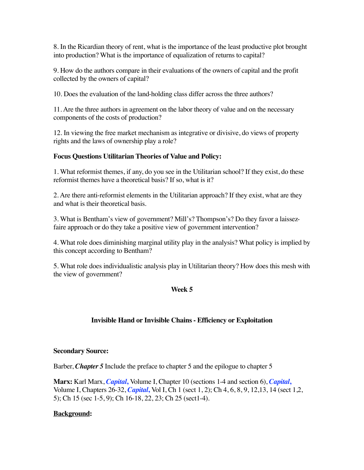8. In the Ricardian theory of rent, what is the importance of the least productive plot brought into production? What is the importance of equalization of returns to capital?

9. How do the authors compare in their evaluations of the owners of capital and the profit collected by the owners of capital?

10. Does the evaluation of the land-holding class differ across the three authors?

11. Are the three authors in agreement on the labor theory of value and on the necessary components of the costs of production?

12. In viewing the free market mechanism as integrative or divisive, do views of property rights and the laws of ownership play a role?

## **Focus Questions Utilitarian Theories of Value and Policy:**

1. What reformist themes, if any, do you see in the Utilitarian school? If they exist, do these reformist themes have a theoretical basis? If so, what is it?

2. Are there anti-reformist elements in the Utilitarian approach? If they exist, what are they and what is their theoretical basis.

3. What is Bentham's view of government? Mill's? Thompson's? Do they favor a laissezfaire approach or do they take a positive view of government intervention?

4. What role does diminishing marginal utility play in the analysis? What policy is implied by this concept according to Bentham?

5. What role does individualistic analysis play in Utilitarian theory? How does this mesh with the view of government?

## **Week 5**

## **Invisible Hand or Invisible Chains - Efficiency or Exploitation**

## **Secondary Source:**

Barber, *Chapter 5* Include the preface to chapter 5 and the epilogue to chapter 5

**Marx:** Karl Marx, *Capital***,** Volume I, Chapter 10 (sections 1-4 and section 6), *Capital***,**  Volume I, Chapters 26-32, *Capital***,** Vol I, Ch 1 (sect 1, 2); Ch 4, 6, 8, 9, 12,13, 14 (sect 1,2, 5); Ch 15 (sec 1-5, 9); Ch 16-18, 22, 23; Ch 25 (sect1-4).

## **Background:**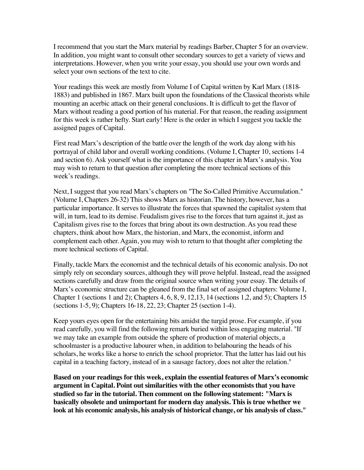I recommend that you start the Marx material by readings Barber, Chapter 5 for an overview. In addition, you might want to consult other secondary sources to get a variety of views and interpretations. However, when you write your essay, you should use your own words and select your own sections of the text to cite.

Your readings this week are mostly from Volume I of Capital written by Karl Marx (1818- 1883) and published in 1867. Marx built upon the foundations of the Classical theorists while mounting an acerbic attack on their general conclusions. It is difficult to get the flavor of Marx without reading a good portion of his material. For that reason, the reading assignment for this week is rather hefty. Start early! Here is the order in which I suggest you tackle the assigned pages of Capital.

First read Marx's description of the battle over the length of the work day along with his portrayal of child labor and overall working conditions. (Volume I, Chapter 10, sections 1-4 and section 6). Ask yourself what is the importance of this chapter in Marx's analysis. You may wish to return to that question after completing the more technical sections of this week's readings.

Next, I suggest that you read Marx's chapters on "The So-Called Primitive Accumulation." (Volume I, Chapters 26-32) This shows Marx as historian. The history, however, has a particular importance. It serves to illustrate the forces that spawned the capitalist system that will, in turn, lead to its demise. Feudalism gives rise to the forces that turn against it, just as Capitalism gives rise to the forces that bring about its own destruction. As you read these chapters, think about how Marx, the historian, and Marx, the economist, inform and complement each other. Again, you may wish to return to that thought after completing the more technical sections of Capital.

Finally, tackle Marx the economist and the technical details of his economic analysis. Do not simply rely on secondary sources, although they will prove helpful. Instead, read the assigned sections carefully and draw from the original source when writing your essay. The details of Marx's economic structure can be gleaned from the final set of assigned chapters: Volume I, Chapter 1 (sections 1 and 2); Chapters 4, 6, 8, 9, 12,13, 14 (sections 1,2, and 5); Chapters 15 (sections 1-5, 9); Chapters 16-18, 22, 23; Chapter 25 (section 1-4).

Keep yours eyes open for the entertaining bits amidst the turgid prose. For example, if you read carefully, you will find the following remark buried within less engaging material. "If we may take an example from outside the sphere of production of material objects, a schoolmaster is a productive labourer when, in addition to belabouring the heads of his scholars, he works like a horse to enrich the school proprietor. That the latter has laid out his capital in a teaching factory, instead of in a sausage factory, does not alter the relation."

**Based on your readings for this week, explain the essential features of Marx's economic argument in Capital. Point out similarities with the other economists that you have studied so far in the tutorial. Then comment on the following statement: "Marx is basically obsolete and unimportant for modern day analysis. This is true whether we look at his economic analysis, his analysis of historical change, or his analysis of class."**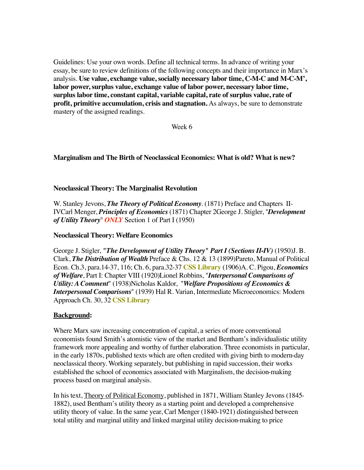Guidelines: Use your own words. Define all technical terms. In advance of writing your essay, be sure to review definitions of the following concepts and their importance in Marx's analysis. **Use value, exchange value, socially necessary labor time, C-M-C and M-C-M', labor power, surplus value, exchange value of labor power, necessary labor time, surplus labor time, constant capital, variable capital, rate of surplus value, rate of profit, primitive accumulation, crisis and stagnation.** As always, be sure to demonstrate mastery of the assigned readings.

Week 6

## **Marginalism and The Birth of Neoclassical Economics: What is old? What is new?**

## **Neoclassical Theory: The Marginalist Revolution**

W. Stanley Jevons, *The Theory of Political Economy*. (1871) Preface and Chapters II-IVCarl Menger, *Principles of Economics* (1871) Chapter 2George J. Stigler, "*Development of Utility Theory*" *ONLY* Section 1 of Part I (1950)

## **Neoclassical Theory: Welfare Economics**

George J. Stigler, *"The Development of Utility Theory" Part I (Sections II-IV)* (1950)J. B. Clark, *The Distribution of Wealth* Preface & Chs. 12 & 13 (1899)Pareto, Manual of Political Econ. Ch.3, para.14-37, 116; Ch. 6, para.32-37 **CSS Library** (1906)A. C. Pigou, *Economics of Welfare*, Part I: Chapter VIII (1920)Lionel Robbins, "*Interpersonal Comparisons of Utility: A Comment*" (1938)Nicholas Kaldor, "*Welfare Propositions of Economics & Interpersonal Comparisons*" (1939) Hal R. Varian, Intermediate Microeconomics: Modern Approach Ch. 30, 32 **CSS Library**

## **Background:**

Where Marx saw increasing concentration of capital, a series of more conventional economists found Smith's atomistic view of the market and Bentham's individualistic utility framework more appealing and worthy of further elaboration. Three economists in particular, in the early 1870s, published texts which are often credited with giving birth to modern-day neoclassical theory. Working separately, but publishing in rapid succession, their works established the school of economics associated with Marginalism, the decision-making process based on marginal analysis.

In his text, Theory of Political Economy, published in 1871, William Stanley Jevons (1845- 1882), used Bentham's utility theory as a starting point and developed a comprehensive utility theory of value. In the same year, Carl Menger (1840-1921) distinguished between total utility and marginal utility and linked marginal utility decision-making to price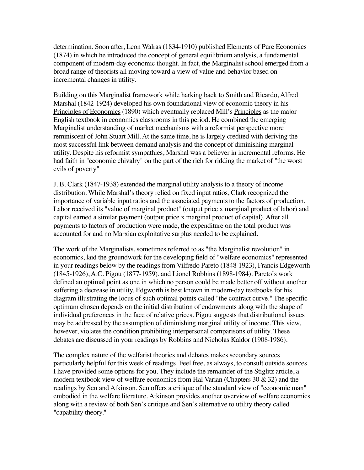determination. Soon after, Leon Walras (1834-1910) published Elements of Pure Economics (1874) in which he introduced the concept of general equilibrium analysis, a fundamental component of modern-day economic thought. In fact, the Marginalist school emerged from a broad range of theorists all moving toward a view of value and behavior based on incremental changes in utility.

Building on this Marginalist framework while harking back to Smith and Ricardo, Alfred Marshal (1842-1924) developed his own foundational view of economic theory in his Principles of Economics (1890) which eventually replaced Mill's Principles as the major English textbook in economics classrooms in this period. He combined the emerging Marginalist understanding of market mechanisms with a reformist perspective more reminiscent of John Stuart Mill. At the same time, he is largely credited with deriving the most successful link between demand analysis and the concept of diminishing marginal utility. Despite his reformist sympathies, Marshal was a believer in incremental reforms. He had faith in "economic chivalry" on the part of the rich for ridding the market of "the worst evils of poverty"

J. B. Clark (1847-1938) extended the marginal utility analysis to a theory of income distribution. While Marshal's theory relied on fixed input ratios, Clark recognized the importance of variable input ratios and the associated payments to the factors of production. Labor received its "value of marginal product" (output price x marginal product of labor) and capital earned a similar payment (output price x marginal product of capital). After all payments to factors of production were made, the expenditure on the total product was accounted for and no Marxian exploitative surplus needed to be explained.

The work of the Marginalists, sometimes referred to as "the Marginalist revolution" in economics, laid the groundwork for the developing field of "welfare economics" represented in your readings below by the readings from Vilfredo Pareto (1848-1923), Francis Edgeworth (1845-1926), A.C. Pigou (1877-1959), and Lionel Robbins (1898-1984). Pareto's work defined an optimal point as one in which no person could be made better off without another suffering a decrease in utility. Edgworth is best known in modern-day textbooks for his diagram illustrating the locus of such optimal points called "the contract curve." The specific optimum chosen depends on the initial distribution of endowments along with the shape of individual preferences in the face of relative prices. Pigou suggests that distributional issues may be addressed by the assumption of diminishing marginal utility of income. This view, however, violates the condition prohibiting interpersonal comparisons of utility. These debates are discussed in your readings by Robbins and Nicholas Kaldor (1908-1986).

The complex nature of the welfarist theories and debates makes secondary sources particularly helpful for this week of readings. Feel free, as always, to consult outside sources. I have provided some options for you. They include the remainder of the Stiglitz article, a modern textbook view of welfare economics from Hal Varian (Chapters 30 & 32) and the readings by Sen and Atkinson. Sen offers a critique of the standard view of "economic man" embodied in the welfare literature. Atkinson provides another overview of welfare economics along with a review of both Sen's critique and Sen's alternative to utility theory called "capability theory."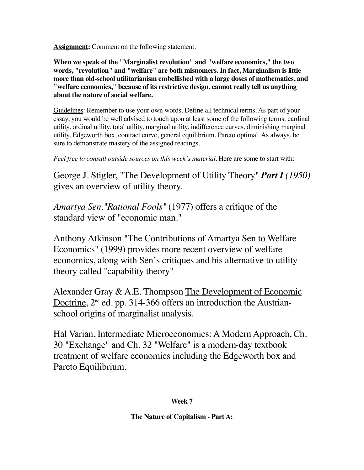**Assignment:** Comment on the following statement:

**When we speak of the "Marginalist revolution" and "welfare economics," the two words, "revolution" and "welfare" are both misnomers. In fact, Marginalism is little more than old-school utilitarianism embellished with a large doses of mathematics, and "welfare economics," because of its restrictive design, cannot really tell us anything about the nature of social welfare.**

Guidelines: Remember to use your own words. Define all technical terms. As part of your essay, you would be well advised to touch upon at least some of the following terms: cardinal utility, ordinal utility, total utility, marginal utility, indifference curves, diminishing marginal utility, Edgeworth box, contract curve, general equilibrium, Pareto optimal. As always, be sure to demonstrate mastery of the assigned readings.

*Feel free to consult outside sources on this week's material.* Here are some to start with:

George J. Stigler, "The Development of Utility Theory" *Part I (1950)* gives an overview of utility theory.

*Amartya Sen."Rational Fools"* (1977) offers a critique of the standard view of "economic man."

Anthony Atkinson "The Contributions of Amartya Sen to Welfare Economics" (1999) provides more recent overview of welfare economics, along with Sen's critiques and his alternative to utility theory called "capability theory"

Alexander Gray & A.E. Thompson The Development of Economic Doctrine,  $2<sup>nd</sup>$  ed. pp. 314-366 offers an introduction the Austrianschool origins of marginalist analysis.

Hal Varian, Intermediate Microeconomics: A Modern Approach, Ch. 30 "Exchange" and Ch. 32 "Welfare" is a modern-day textbook treatment of welfare economics including the Edgeworth box and Pareto Equilibrium.

**Week 7**

**The Nature of Capitalism - Part A:**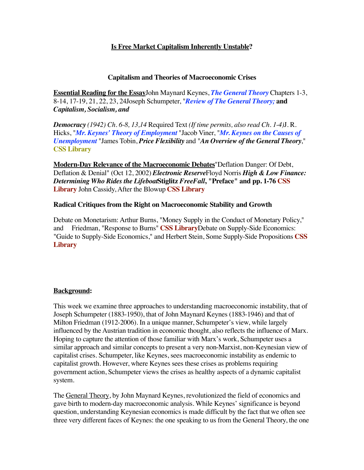## **Is Free Market Capitalism Inherently Unstable?**

#### **Capitalism and Theories of Macroeconomic Crises**

**Essential Reading for the Essay**John Maynard Keynes, *The General Theory* Chapters 1-3, 8-14, 17-19, 21, 22, 23, 24Joseph Schumpeter, "*Review of The General Theory;* **and**  *Capitalism, Socialism, and*

*Democracy (1942) Ch. 6-8, 13,14* Required Text *(If time permits, also read Ch. 1-4)*J. R. Hicks, "*Mr. Keynes' Theory of Employment* "Jacob Viner, "*Mr. Keynes on the Causes of Unemployment* "James Tobin, *Price Flexibility* and "*An Overview of the General Theory*," **CSS Library**

**Modern-Day Relevance of the Macroeconomic Debates**"Deflation Danger: Of Debt, Deflation & Denial" (Oct 12, 2002) *Electronic Reserve*Floyd Norris *High & Low Finance: Determining Who Rides the Lifeboat***Stiglitz** *FreeFall***, "Preface" and pp. 1-76 CSS Library** John Cassidy, After the Blowup **CSS Library**

#### **Radical Critiques from the Right on Macroeconomic Stability and Growth**

Debate on Monetarism: Arthur Burns, "Money Supply in the Conduct of Monetary Policy," and Friedman, "Response to Burns" **CSS Library**Debate on Supply-Side Economics: "Guide to Supply-Side Economics," and Herbert Stein, Some Supply-Side Propositions **CSS Library**

## **Background:**

This week we examine three approaches to understanding macroeconomic instability, that of Joseph Schumpeter (1883-1950), that of John Maynard Keynes (1883-1946) and that of Milton Friedman (1912-2006). In a unique manner, Schumpeter's view, while largely influenced by the Austrian tradition in economic thought, also reflects the influence of Marx. Hoping to capture the attention of those familiar with Marx's work, Schumpeter uses a similar approach and similar concepts to present a very non-Marxist, non-Keynesian view of capitalist crises. Schumpeter, like Keynes, sees macroeconomic instability as endemic to capitalist growth. However, where Keynes sees these crises as problems requiring government action, Schumpeter views the crises as healthy aspects of a dynamic capitalist system.

The General Theory, by John Maynard Keynes, revolutionized the field of economics and gave birth to modern-day macroeconomic analysis. While Keynes' significance is beyond question, understanding Keynesian economics is made difficult by the fact that we often see three very different faces of Keynes: the one speaking to us from the General Theory, the one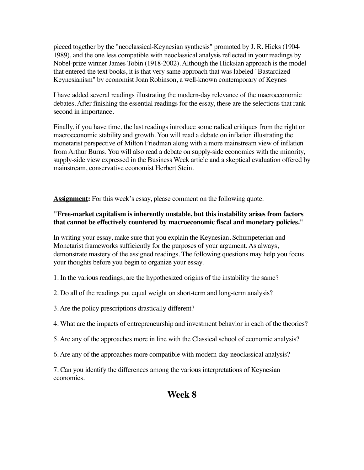pieced together by the "neoclassical-Keynesian synthesis" promoted by J. R. Hicks (1904- 1989), and the one less compatible with neoclassical analysis reflected in your readings by Nobel-prize winner James Tobin (1918-2002). Although the Hicksian approach is the model that entered the text books, it is that very same approach that was labeled "Bastardized Keynesianism" by economist Joan Robinson, a well-known contemporary of Keynes

I have added several readings illustrating the modern-day relevance of the macroeconomic debates. After finishing the essential readings for the essay, these are the selections that rank second in importance.

Finally, if you have time, the last readings introduce some radical critiques from the right on macroeconomic stability and growth. You will read a debate on inflation illustrating the monetarist perspective of Milton Friedman along with a more mainstream view of inflation from Arthur Burns. You will also read a debate on supply-side economics with the minority, supply-side view expressed in the Business Week article and a skeptical evaluation offered by mainstream, conservative economist Herbert Stein.

**Assignment:** For this week's essay, please comment on the following quote:

## **"Free-market capitalism is inherently unstable, but this instability arises from factors that cannot be effectively countered by macroeconomic fiscal and monetary policies."**

In writing your essay, make sure that you explain the Keynesian, Schumpeterian and Monetarist frameworks sufficiently for the purposes of your argument. As always, demonstrate mastery of the assigned readings. The following questions may help you focus your thoughts before you begin to organize your essay.

1. In the various readings, are the hypothesized origins of the instability the same?

- 2. Do all of the readings put equal weight on short-term and long-term analysis?
- 3. Are the policy prescriptions drastically different?
- 4. What are the impacts of entrepreneurship and investment behavior in each of the theories?
- 5. Are any of the approaches more in line with the Classical school of economic analysis?
- 6. Are any of the approaches more compatible with modern-day neoclassical analysis?

7. Can you identify the differences among the various interpretations of Keynesian economics.

## **Week 8**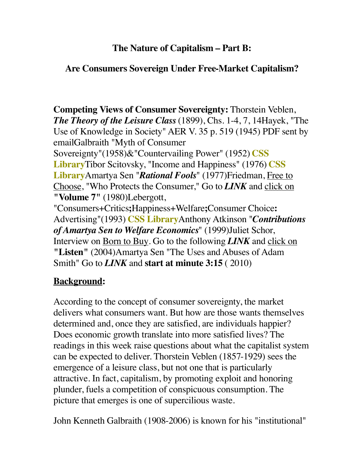## **The Nature of Capitalism – Part B:**

## **Are Consumers Sovereign Under Free-Market Capitalism?**

**Competing Views of Consumer Sovereignty:** Thorstein Veblen, *The Theory of the Leisure Class* (1899), Chs. 1-4, 7, 14Hayek, "The Use of Knowledge in Society" AER V. 35 p. 519 (1945) PDF sent by emailGalbraith "Myth of Consumer

Sovereignty"(1958)&"Countervailing Power" (1952) **CSS Library**Tibor Scitovsky, "Income and Happiness" (1976) **CSS Library**Amartya Sen "*Rational Fools*" (1977)Friedman, Free to Choose, "Who Protects the Consumer," Go to *LINK* and click on **"Volume 7"** (1980)Lebergott,

"Consumers+Critics**;**Happiness+Welfare**;**Consumer Choice**:**  Advertising"(1993) **CSS Library**Anthony Atkinson "*Contributions of Amartya Sen to Welfare Economics*" (1999)Juliet Schor, Interview on Born to Buy. Go to the following *LINK* and click on **"Listen"** (2004)Amartya Sen "The Uses and Abuses of Adam Smith" Go to *LINK* and **start at minute 3:15** ( 2010)

# **Background:**

According to the concept of consumer sovereignty, the market delivers what consumers want. But how are those wants themselves determined and, once they are satisfied, are individuals happier? Does economic growth translate into more satisfied lives? The readings in this week raise questions about what the capitalist system can be expected to deliver. Thorstein Veblen (1857-1929) sees the emergence of a leisure class, but not one that is particularly attractive. In fact, capitalism, by promoting exploit and honoring plunder, fuels a competition of conspicuous consumption. The picture that emerges is one of supercilious waste.

John Kenneth Galbraith (1908-2006) is known for his "institutional"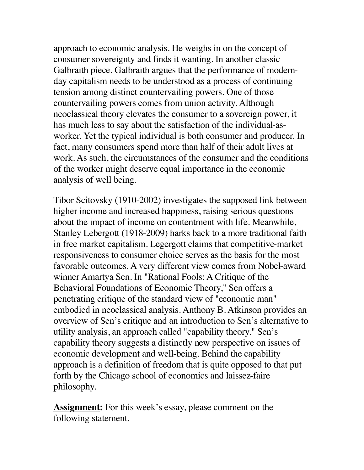approach to economic analysis. He weighs in on the concept of consumer sovereignty and finds it wanting. In another classic Galbraith piece, Galbraith argues that the performance of modernday capitalism needs to be understood as a process of continuing tension among distinct countervailing powers. One of those countervailing powers comes from union activity. Although neoclassical theory elevates the consumer to a sovereign power, it has much less to say about the satisfaction of the individual-asworker. Yet the typical individual is both consumer and producer. In fact, many consumers spend more than half of their adult lives at work. As such, the circumstances of the consumer and the conditions of the worker might deserve equal importance in the economic analysis of well being.

Tibor Scitovsky (1910-2002) investigates the supposed link between higher income and increased happiness, raising serious questions about the impact of income on contentment with life. Meanwhile, Stanley Lebergott (1918-2009) harks back to a more traditional faith in free market capitalism. Legergott claims that competitive-market responsiveness to consumer choice serves as the basis for the most favorable outcomes. A very different view comes from Nobel-award winner Amartya Sen. In "Rational Fools: A Critique of the Behavioral Foundations of Economic Theory," Sen offers a penetrating critique of the standard view of "economic man" embodied in neoclassical analysis. Anthony B. Atkinson provides an overview of Sen's critique and an introduction to Sen's alternative to utility analysis, an approach called "capability theory." Sen's capability theory suggests a distinctly new perspective on issues of economic development and well-being. Behind the capability approach is a definition of freedom that is quite opposed to that put forth by the Chicago school of economics and laissez-faire philosophy.

**Assignment:** For this week's essay, please comment on the following statement.